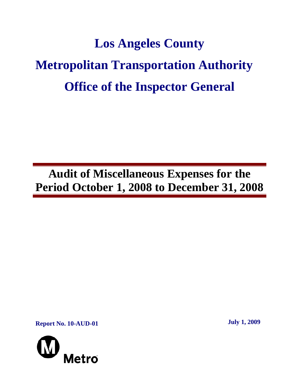# **Los Angeles County Metropolitan Transportation Authority Office of the Inspector General**

**Audit of Miscellaneous Expenses for the Period October 1, 2008 to December 31, 2008**

**Report No. 10-AUD-01** July 1, 2009

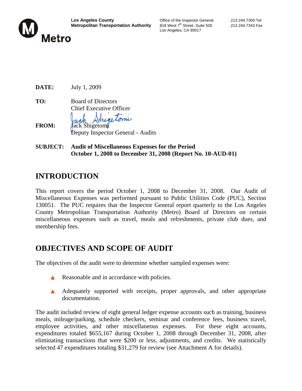

Los Angeles, CA 90017

**DATE:** July 1, 2009

**TO:** Board of Directors Chief Executive Officer **FROM:** Jack Shigetomi

Deputy Inspector General - Audits

**SUBJECT: Audit of Miscellaneous Expenses for the Period October 1, 2008 to December 31, 2008 (Report No. 10-AUD-01)** 

### **INTRODUCTION**

This report covers the period October 1, 2008 to December 31, 2008. Our Audit of Miscellaneous Expenses was performed pursuant to Public Utilities Code (PUC), Section 130051. The PUC requires that the Inspector General report quarterly to the Los Angeles County Metropolitan Transportation Authority (Metro) Board of Directors on certain miscellaneous expenses such as travel, meals and refreshments, private club dues, and membership fees.

#### **OBJECTIVES AND SCOPE OF AUDIT**

The objectives of the audit were to determine whether sampled expenses were:

- Reasonable and in accordance with policies. A
- Adequately supported with receipts, proper approvals, and other appropriate A documentation.

The audit included review of eight general ledger expense accounts such as training, business meals, mileage/parking, schedule checkers, seminar and conference fees, business travel, employee activities, and other miscellaneous expenses. For these eight accounts, expenditures totaled \$655,167 during October 1, 2008 through December 31, 2008, after eliminating transactions that were \$200 or less, adjustments, and credits. We statistically selected 47 expenditures totaling \$31,279 for review (see Attachment A for details).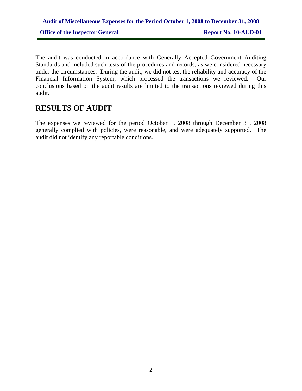## **Audit of Miscellaneous Expenses for the Period October 1, 2008 to December 31, 2008 Office of the Inspector General Report No. 10-AUD-01**

The audit was conducted in accordance with Generally Accepted Government Auditing Standards and included such tests of the procedures and records, as we considered necessary under the circumstances. During the audit, we did not test the reliability and accuracy of the Financial Information System, which processed the transactions we reviewed. Our conclusions based on the audit results are limited to the transactions reviewed during this audit.

#### **RESULTS OF AUDIT**

The expenses we reviewed for the period October 1, 2008 through December 31, 2008 generally complied with policies, were reasonable, and were adequately supported. The audit did not identify any reportable conditions.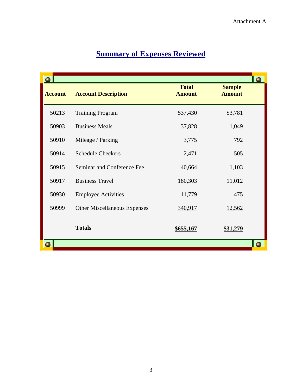|                |                                     |                               |                                | $\bullet$ |
|----------------|-------------------------------------|-------------------------------|--------------------------------|-----------|
| <b>Account</b> | <b>Account Description</b>          | <b>Total</b><br><b>Amount</b> | <b>Sample</b><br><b>Amount</b> |           |
| 50213          | <b>Training Program</b>             | \$37,430                      | \$3,781                        |           |
| 50903          | <b>Business Meals</b>               | 37,828                        | 1,049                          |           |
| 50910          | Mileage / Parking                   | 3,775                         | 792                            |           |
| 50914          | <b>Schedule Checkers</b>            | 2,471                         | 505                            |           |
| 50915          | Seminar and Conference Fee          | 40,664                        | 1,103                          |           |
| 50917          | <b>Business Travel</b>              | 180,303                       | 11,012                         |           |
| 50930          | <b>Employee Activities</b>          | 11,779                        | 475                            |           |
| 50999          | <b>Other Miscellaneous Expenses</b> | 340,917                       | 12,562                         |           |
|                | <b>Totals</b>                       | <u>\$655,167</u>              | <u>\$31,279</u>                |           |
|                |                                     |                               |                                | п         |

# **Summary of Expenses Reviewed**